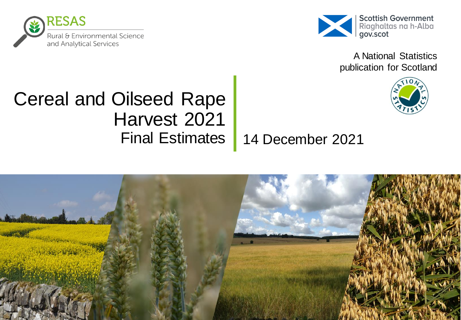



A National Statistics publication for Scotland

# Cereal and Oilseed Rape Harvest 2021 Final Estimates

## 14 December 2021

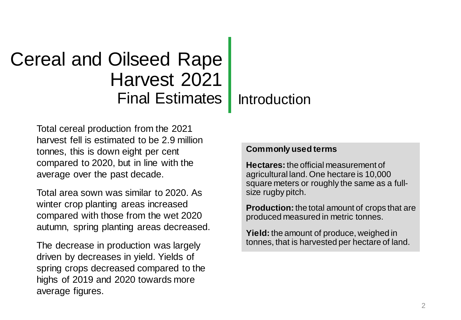# Cereal and Oilseed Rape Harvest 2021 Final Estimates

#### Introduction

Total cereal production from the 2021 harvest fell is estimated to be 2.9 million tonnes, this is down eight per cent compared to 2020, but in line with the average over the past decade.

Total area sown was similar to 2020. As winter crop planting areas increased compared with those from the wet 2020 autumn, spring planting areas decreased.

The decrease in production was largely driven by decreases in yield. Yields of spring crops decreased compared to the highs of 2019 and 2020 towards more average figures.

#### **Commonly used terms**

**Hectares:** the official measurement of agricultural land. One hectare is 10,000 square meters or roughly the same as a fullsize rugby pitch.

**Production:** the total amount of crops that are produced measured in metric tonnes.

**Yield:** the amount of produce, weighed in tonnes, that is harvested per hectare of land.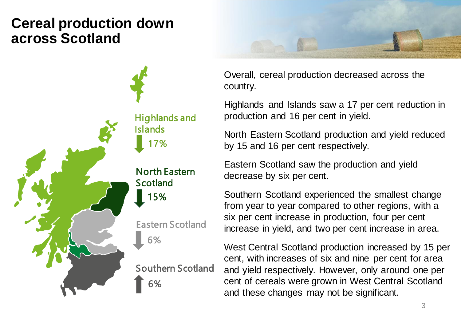## **Cereal production down across Scotland**





Overall, cereal production decreased across the country.

Highlands and Islands saw a 17 per cent reduction in production and 16 per cent in yield.

North Eastern Scotland production and yield reduced by 15 and 16 per cent respectively.

Eastern Scotland saw the production and yield decrease by six per cent.

Southern Scotland experienced the smallest change from year to year compared to other regions, with a six per cent increase in production, four per cent increase in yield, and two per cent increase in area.

West Central Scotland production increased by 15 per cent, with increases of six and nine per cent for area and yield respectively. However, only around one per cent of cereals were grown in West Central Scotland and these changes may not be significant.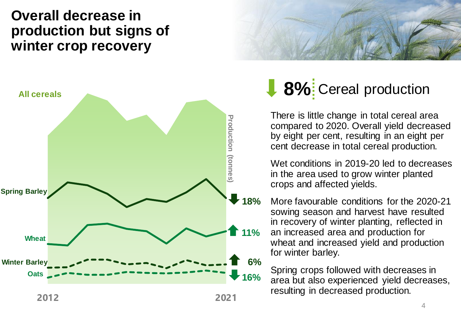#### **Overall decrease in production but signs of winter crop recovery**





# **8%** Cereal production

There is little change in total cereal area compared to 2020. Overall yield decreased by eight per cent, resulting in an eight per cent decrease in total cereal production.

Wet conditions in 2019-20 led to decreases in the area used to grow winter planted crops and affected yields.

More favourable conditions for the 2020-21 sowing season and harvest have resulted in recovery of winter planting, reflected in an increased area and production for wheat and increased yield and production for winter barley.

Spring crops followed with decreases in area but also experienced yield decreases, resulting in decreased production.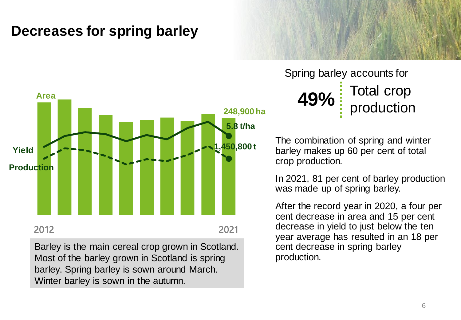### **Decreases for spring barley**



Barley is the main cereal crop grown in Scotland. Most of the barley grown in Scotland is spring barley. Spring barley is sown around March. Winter barley is sown in the autumn.

**49%** Total crop production Spring barley accounts for

The combination of spring and winter barley makes up 60 per cent of total crop production.

In 2021, 81 per cent of barley production was made up of spring barley.

After the record year in 2020, a four per cent decrease in area and 15 per cent decrease in yield to just below the ten year average has resulted in an 18 per cent decrease in spring barley production.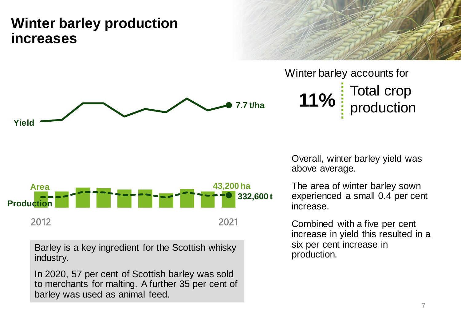### **Winter barley production increases**



**11%** Total crop production Winter barley accounts for



The area of winter barley sown experienced a small 0.4 per cent increase.

**332,600 t**

**43,200 ha**

Combined with a five per cent increase in yield this resulted in a six per cent increase in production.

Barley is a key ingredient for the Scottish whisky industry.

**Production** 

**Area**

In 2020, 57 per cent of Scottish barley was sold to merchants for malting. A further 35 per cent of barley was used as animal feed.

2012 2021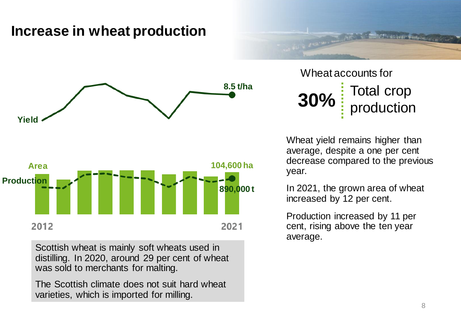#### **Increase in wheat production**





Scottish wheat is mainly soft wheats used in distilling. In 2020, around 29 per cent of wheat was sold to merchants for malting.

The Scottish climate does not suit hard wheat varieties, which is imported for milling.

**30%** Total crop production Wheat accounts for

Wheat yield remains higher than average, despite a one per cent decrease compared to the previous year.

In 2021, the grown area of wheat increased by 12 per cent.

Production increased by 11 per cent, rising above the ten year average.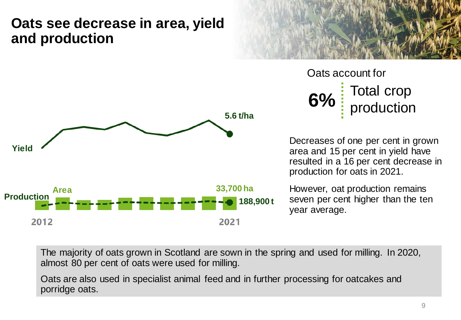#### **Oats see decrease in area, yield and production**





**6%** Total crop production Oats account for

Decreases of one per cent in grown area and 15 per cent in yield have resulted in a 16 per cent decrease in production for oats in 2021.

However, oat production remains seven per cent higher than the ten year average.

The majority of oats grown in Scotland are sown in the spring and used for milling. In 2020, almost 80 per cent of oats were used for milling.

Oats are also used in specialist animal feed and in further processing for oatcakes and porridge oats.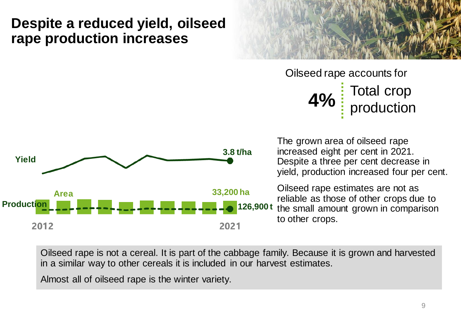#### **Despite a reduced yield, oilseed rape production increases**



**4%** Total crop production Oilseed rape accounts for



The grown area of oilseed rape increased eight per cent in 2021. Despite a three per cent decrease in yield, production increased four per cent.

Oilseed rape estimates are not as reliable as those of other crops due to the small amount grown in comparison to other crops.

Oilseed rape is not a cereal. It is part of the cabbage family. Because it is grown and harvested in a similar way to other cereals it is included in our harvest estimates.

Almost all of oilseed rape is the winter variety.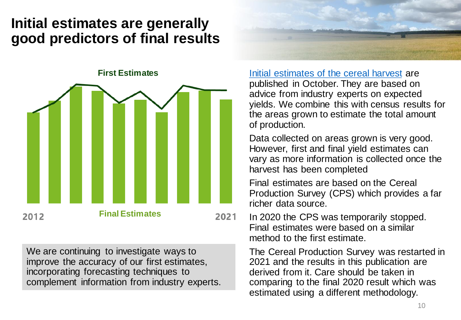### **Initial estimates are generally good predictors of final results**

**First Estimates Final Estimates** 2012 2021

We are continuing to investigate ways to improve the accuracy of our first estimates, incorporating forecasting techniques to complement information from industry experts.



[Initial estimates of the cereal harvest](https://www.gov.scot/publications/cereal-oilseed-rape-harvest-2021-first-estimates/) are published in October. They are based on advice from industry experts on expected yields. We combine this with census results for the areas grown to estimate the total amount of production.

Data collected on areas grown is very good. However, first and final yield estimates can vary as more information is collected once the harvest has been completed

Final estimates are based on the Cereal Production Survey (CPS) which provides a far richer data source.

In 2020 the CPS was temporarily stopped. Final estimates were based on a similar method to the first estimate.

The Cereal Production Survey was restarted in 2021 and the results in this publication are derived from it. Care should be taken in comparing to the final 2020 result which was estimated using a different methodology.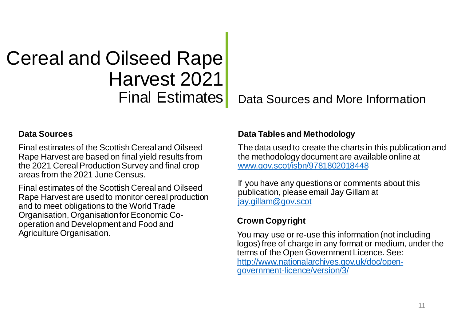# Cereal and Oilseed Rape Harvest 2021 Final Estimates

Data Sources and More Information

#### **Data Sources**

Final estimates of the Scottish Cereal and Oilseed Rape Harvest are based on final yield results from the 2021 Cereal Production Survey and final crop areas from the 2021 June Census.

Final estimates of the Scottish Cereal and Oilseed Rape Harvest are used to monitor cereal production and to meet obligations to the World Trade Organisation, Organisation for Economic Cooperation and Development and Food and Agriculture Organisation.

#### **Data Tables and Methodology**

The data used to create the charts in this publication and the methodology document are available online at [www.gov.scot/isbn/9781802018448](https://www.gov.scot/isbn/9781802018448) 

If you have any questions or comments about this publication, please email Jay Gillam at [jay.gillam@gov.scot](mailto:jay.gillam@gov.scot)

#### **Crown Copyright**

You may use or re-use this information (not including logos) free of charge in any format or medium, under the terms of the Open Government Licence. See: [http://www.nationalarchives.gov.uk/doc/open](http://www.nationalarchives.gov.uk/doc/open-government-licence/version/3/)government-licence/version/3/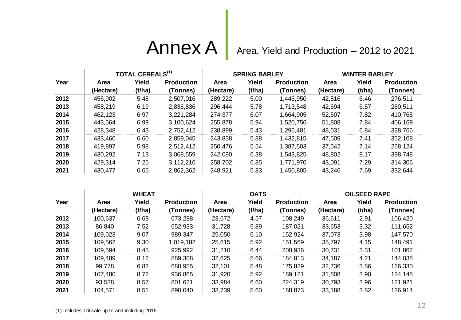# Annex A

Area, Yield and Production – 2012 to 2021

|      | <b>TOTAL CEREALS<sup>(1)</sup></b> |        |                   | <b>SPRING BARLEY</b> |        |                   | <b>WINTER BARLEY</b> |        |                   |
|------|------------------------------------|--------|-------------------|----------------------|--------|-------------------|----------------------|--------|-------------------|
| Year | Area                               | Yield  | <b>Production</b> | Area                 | Yield  | <b>Production</b> | Area                 | Yield  | <b>Production</b> |
|      | (Hectare)                          | (t/ha) | (Tonnes)          | (Hectare)            | (t/ha) | (Tonnes)          | (Hectare)            | (t/ha) | (Tonnes)          |
| 2012 | 456,902                            | 5.48   | 2,507,016         | 289,222              | 5.00   | 1,446,950         | 42,816               | 6.46   | 276,511           |
| 2013 | 458.219                            | 6.19   | 2,836,836         | 296,444              | 5.78   | 1,713,548         | 42,694               | 6.57   | 280,511           |
| 2014 | 462,123                            | 6.97   | 3,221,284         | 274,377              | 6.07   | 1,664,905         | 52,507               | 7.82   | 410,765           |
| 2015 | 443,564                            | 6.99   | 3,100,624         | 255,878              | 5.94   | 1,520,756         | 51.808               | 7.84   | 406,169           |
| 2016 | 428,348                            | 6.43   | 2,752,412         | 238,899              | 5.43   | 1,296,481         | 48,031               | 6.84   | 328,766           |
| 2017 | 433,460                            | 6.60   | 2,859,045         | 243,838              | 5.88   | 1,432,815         | 47,509               | 7.41   | 352,108           |
| 2018 | 419.897                            | 5.98   | 2,512,412         | 250.476              | 5.54   | 1,387,503         | 37,542               | 7.14   | 268,124           |
| 2019 | 430,292                            | 7.13   | 3.068,559         | 242,090              | 6.38   | 1,543,825         | 48,802               | 8.17   | 398,748           |
| 2020 | 429,314                            | 7.25   | 3,112,216         | 258.702              | 6.85   | 1,771,970         | 43,091               | 7.29   | 314,306           |
| 2021 | 430,477                            | 6.65   | 2,862,362         | 248,921              | 5.83   | 1,450,805         | 43,246               | 7.69   | 332,644           |

|      | <b>WHEAT</b> |        |                   | <b>OATS</b> |        |                   | <b>OILSEED RAPE</b> |        |                   |
|------|--------------|--------|-------------------|-------------|--------|-------------------|---------------------|--------|-------------------|
| Year | Area         | Yield  | <b>Production</b> | <b>Area</b> | Yield  | <b>Production</b> | Area                | Yield  | <b>Production</b> |
|      | (Hectare)    | (t/ha) | (Tonnes)          | (Hectare)   | (t/ha) | (Tonnes)          | (Hectare)           | (t/ha) | (Tonnes)          |
| 2012 | 100,637      | 6.69   | 673,288           | 23,672      | 4.57   | 108,249           | 36,611              | 2.91   | 106,420           |
| 2013 | 86,840       | 7.52   | 652,933           | 31.728      | 5.89   | 187,021           | 33,653              | 3.32   | 111,652           |
| 2014 | 109,023      | 9.07   | 989,347           | 25,050      | 6.10   | 152,924           | 37,073              | 3.98   | 147,570           |
| 2015 | 109,562      | 9.30   | 1,019,182         | 25,615      | 5.92   | 151,569           | 35,797              | 4.15   | 148,491           |
| 2016 | 109,594      | 8.45   | 925,992           | 31,210      | 6.44   | 200,936           | 30,731              | 3.31   | 101,862           |
| 2017 | 109,489      | 8.12   | 889,308           | 32,625      | 5.66   | 184,813           | 34,187              | 4.21   | 144,038           |
| 2018 | 99,778       | 6.82   | 680,955           | 32,101      | 5.48   | 175,829           | 32,736              | 3.86   | 126,330           |
| 2019 | 107,480      | 8.72   | 936,865           | 31,920      | 5.92   | 189,121           | 31,808              | 3.90   | 124,148           |
| 2020 | 93,538       | 8.57   | 801,621           | 33,984      | 6.60   | 224,319           | 30,793              | 3.96   | 121,921           |
| 2021 | 104,571      | 8.51   | 890,040           | 33,739      | 5.60   | 188,873           | 33,188              | 3.82   | 126,914           |